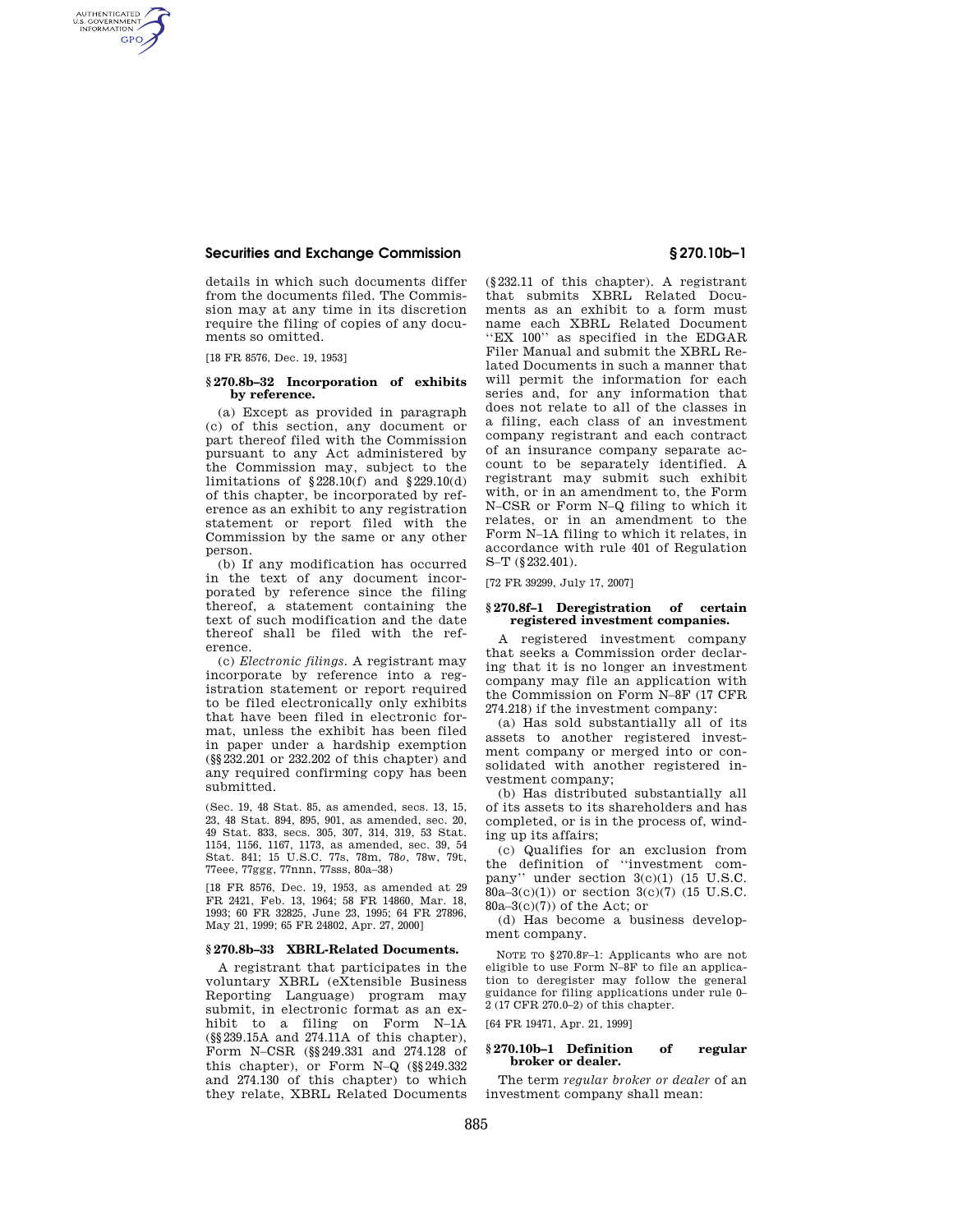## **Securities and Exchange Commission § 270.10b–1**

details in which such documents differ from the documents filed. The Commission may at any time in its discretion require the filing of copies of any documents so omitted.

[18 FR 8576, Dec. 19, 1953]

AUTHENTICATED<br>U.S. GOVERNMENT<br>INFORMATION **GPO** 

## **§ 270.8b–32 Incorporation of exhibits by reference.**

(a) Except as provided in paragraph (c) of this section, any document or part thereof filed with the Commission pursuant to any Act administered by the Commission may, subject to the limitations of §228.10(f) and §229.10(d) of this chapter, be incorporated by reference as an exhibit to any registration statement or report filed with the Commission by the same or any other person.

(b) If any modification has occurred in the text of any document incorporated by reference since the filing thereof, a statement containing the text of such modification and the date thereof shall be filed with the reference.

(c) *Electronic filings.* A registrant may incorporate by reference into a registration statement or report required to be filed electronically only exhibits that have been filed in electronic format, unless the exhibit has been filed in paper under a hardship exemption (§§232.201 or 232.202 of this chapter) and any required confirming copy has been submitted.

(Sec. 19, 48 Stat. 85, as amended, secs. 13, 15, 23, 48 Stat. 894, 895, 901, as amended, sec. 20, 49 Stat. 833, secs. 305, 307, 314, 319, 53 Stat. 1154, 1156, 1167, 1173, as amended, sec. 39, 54 Stat. 841; 15 U.S.C. 77s, 78m, 78*o,* 78w, 79t, 77eee, 77ggg, 77nnn, 77sss, 80a–38)

[18 FR 8576, Dec. 19, 1953, as amended at 29 FR 2421, Feb. 13, 1964; 58 FR 14860, Mar. 18, 1993; 60 FR 32825, June 23, 1995; 64 FR 27896, May 21, 1999; 65 FR 24802, Apr. 27, 2000]

# **§ 270.8b–33 XBRL-Related Documents.**

A registrant that participates in the voluntary XBRL (eXtensible Business Reporting Language) program may submit, in electronic format as an exhibit to a filing on Form N–1A (§§239.15A and 274.11A of this chapter), Form N–CSR (§§249.331 and 274.128 of this chapter), or Form N–Q (§§249.332 and 274.130 of this chapter) to which they relate, XBRL Related Documents

(§232.11 of this chapter). A registrant that submits XBRL Related Documents as an exhibit to a form must name each XBRL Related Document ''EX 100'' as specified in the EDGAR Filer Manual and submit the XBRL Related Documents in such a manner that will permit the information for each series and, for any information that does not relate to all of the classes in a filing, each class of an investment company registrant and each contract of an insurance company separate account to be separately identified. A registrant may submit such exhibit with, or in an amendment to, the Form N–CSR or Form N–Q filing to which it relates, or in an amendment to the Form N–1A filing to which it relates, in accordance with rule 401 of Regulation S–T (§232.401).

[72 FR 39299, July 17, 2007]

### **§ 270.8f–1 Deregistration of certain registered investment companies.**

A registered investment company that seeks a Commission order declaring that it is no longer an investment company may file an application with the Commission on Form N–8F (17 CFR 274.218) if the investment company:

(a) Has sold substantially all of its assets to another registered investment company or merged into or consolidated with another registered investment company;

(b) Has distributed substantially all of its assets to its shareholders and has completed, or is in the process of, winding up its affairs;

(c) Qualifies for an exclusion from the definition of ''investment company'' under section  $3(c)(1)$  (15 U.S.C. 80a–3(c)(1)) or section 3(c)(7) (15 U.S.C. 80a–3(c)(7)) of the Act; or

(d) Has become a business development company.

NOTE TO §270.8F–1: Applicants who are not eligible to use Form N–8F to file an application to deregister may follow the general guidance for filing applications under rule 0– 2 (17 CFR 270.0–2) of this chapter.

[64 FR 19471, Apr. 21, 1999]

## **§ 270.10b–1 Definition of regular broker or dealer.**

The term *regular broker or dealer* of an investment company shall mean: